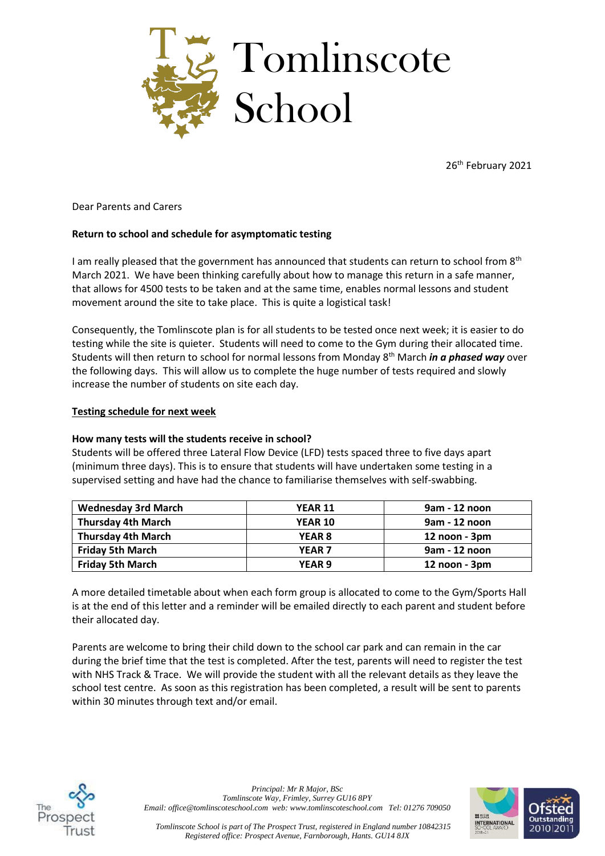

26<sup>th</sup> February 2021

Dear Parents and Carers

### **Return to school and schedule for asymptomatic testing**

I am really pleased that the government has announced that students can return to school from  $8<sup>th</sup>$ March 2021. We have been thinking carefully about how to manage this return in a safe manner, that allows for 4500 tests to be taken and at the same time, enables normal lessons and student movement around the site to take place. This is quite a logistical task!

Consequently, the Tomlinscote plan is for all students to be tested once next week; it is easier to do testing while the site is quieter. Students will need to come to the Gym during their allocated time. Students will then return to school for normal lessons from Monday 8th March *in a phased way* over the following days. This will allow us to complete the huge number of tests required and slowly increase the number of students on site each day.

#### **Testing schedule for next week**

#### **How many tests will the students receive in school?**

Students will be offered three Lateral Flow Device (LFD) tests spaced three to five days apart (minimum three days). This is to ensure that students will have undertaken some testing in a supervised setting and have had the chance to familiarise themselves with self-swabbing.

| <b>Wednesday 3rd March</b> | <b>YEAR 11</b>    | 9am - 12 noon      |
|----------------------------|-------------------|--------------------|
| <b>Thursday 4th March</b>  | <b>YEAR 10</b>    | 9am - 12 noon      |
| <b>Thursday 4th March</b>  | <b>YEAR 8</b>     | 12 noon - 3pm      |
| <b>Friday 5th March</b>    | <b>YEAR 7</b>     | 9am - 12 noon      |
| <b>Friday 5th March</b>    | YEAR <sub>9</sub> | $12$ noon - $3$ pm |

A more detailed timetable about when each form group is allocated to come to the Gym/Sports Hall is at the end of this letter and a reminder will be emailed directly to each parent and student before their allocated day.

Parents are welcome to bring their child down to the school car park and can remain in the car during the brief time that the test is completed. After the test, parents will need to register the test with NHS Track & Trace. We will provide the student with all the relevant details as they leave the school test centre. As soon as this registration has been completed, a result will be sent to parents within 30 minutes through text and/or email.



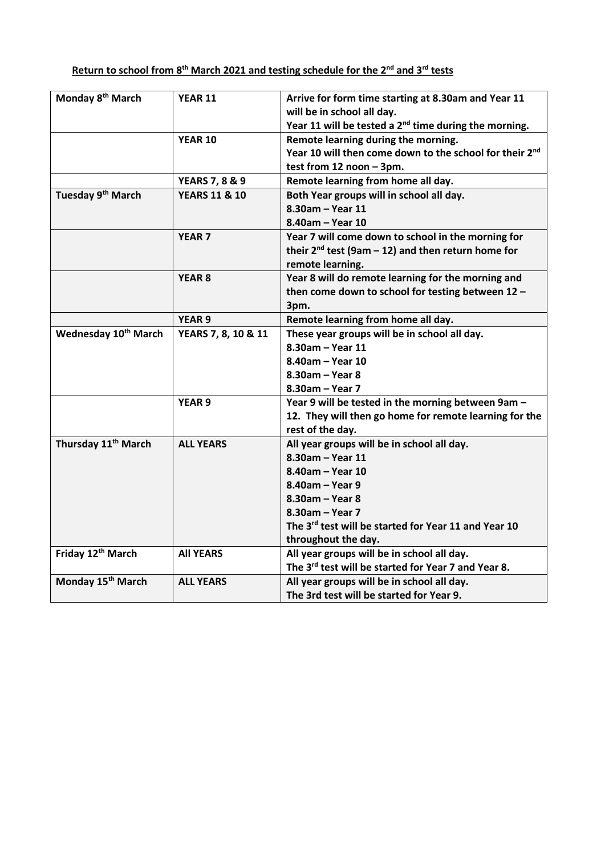| Monday 8 <sup>th</sup> March     | <b>YEAR 11</b>            | Arrive for form time starting at 8.30am and Year 11<br>will be in school all day. |
|----------------------------------|---------------------------|-----------------------------------------------------------------------------------|
|                                  |                           | Year 11 will be tested a 2 <sup>nd</sup> time during the morning.                 |
|                                  | <b>YEAR 10</b>            | Remote learning during the morning.                                               |
|                                  |                           | Year 10 will then come down to the school for their 2 <sup>nd</sup>               |
|                                  |                           | test from 12 noon - 3pm.                                                          |
|                                  | <b>YEARS 7, 8 &amp; 9</b> | Remote learning from home all day.                                                |
| Tuesday 9 <sup>th</sup> March    | <b>YEARS 11 &amp; 10</b>  | Both Year groups will in school all day.                                          |
|                                  |                           | 8.30am - Year 11                                                                  |
|                                  |                           | 8.40am - Year 10                                                                  |
|                                  | <b>YEAR 7</b>             | Year 7 will come down to school in the morning for                                |
|                                  |                           | their $2^{nd}$ test (9am - 12) and then return home for                           |
|                                  |                           | remote learning.                                                                  |
|                                  | YEAR <sub>8</sub>         | Year 8 will do remote learning for the morning and                                |
|                                  |                           | then come down to school for testing between 12 -                                 |
|                                  |                           | 3pm.                                                                              |
|                                  | <b>YEAR 9</b>             | Remote learning from home all day.                                                |
| Wednesday 10 <sup>th</sup> March | YEARS 7, 8, 10 & 11       | These year groups will be in school all day.                                      |
|                                  |                           | 8.30am - Year 11                                                                  |
|                                  |                           | 8.40am - Year 10                                                                  |
|                                  |                           | 8.30am - Year 8                                                                   |
|                                  |                           | 8.30am - Year 7                                                                   |
|                                  | <b>YEAR 9</b>             | Year 9 will be tested in the morning between 9am -                                |
|                                  |                           | 12. They will then go home for remote learning for the                            |
|                                  |                           | rest of the day.                                                                  |
| Thursday 11 <sup>th</sup> March  | <b>ALL YEARS</b>          | All year groups will be in school all day.                                        |
|                                  |                           | 8.30am - Year 11                                                                  |
|                                  |                           | 8.40am - Year 10                                                                  |
|                                  |                           | 8.40am - Year 9                                                                   |
|                                  |                           | 8.30am - Year 8                                                                   |
|                                  |                           | 8.30am - Year 7                                                                   |
|                                  |                           | The 3 <sup>rd</sup> test will be started for Year 11 and Year 10                  |
|                                  |                           | throughout the day.                                                               |
| Friday 12 <sup>th</sup> March    | <b>All YEARS</b>          | All year groups will be in school all day.                                        |
|                                  |                           | The 3rd test will be started for Year 7 and Year 8.                               |
| Monday 15 <sup>th</sup> March    | <b>ALL YEARS</b>          | All year groups will be in school all day.                                        |
|                                  |                           | The 3rd test will be started for Year 9.                                          |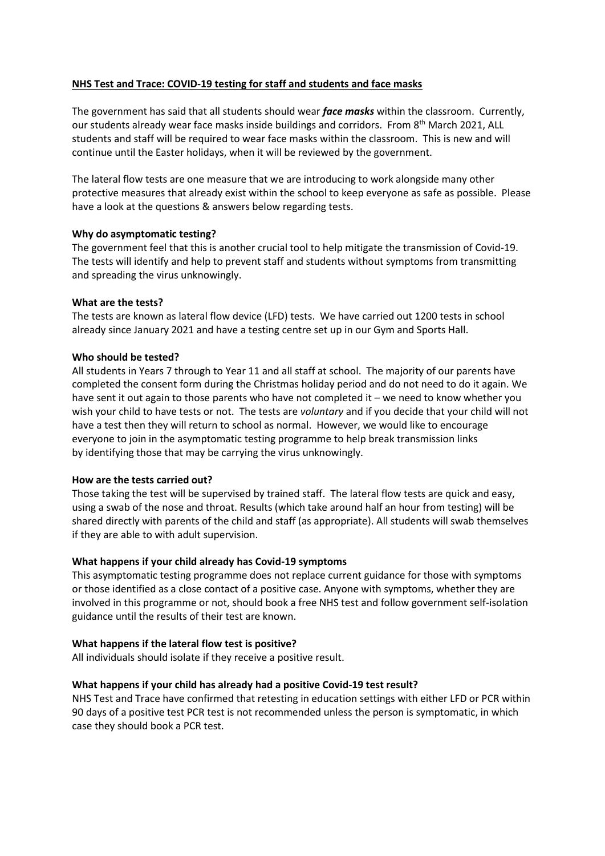## **NHS Test and Trace: COVID-19 testing for staff and students and face masks**

The government has said that all students should wear *face masks* within the classroom. Currently, our students already wear face masks inside buildings and corridors. From 8<sup>th</sup> March 2021, ALL students and staff will be required to wear face masks within the classroom. This is new and will continue until the Easter holidays, when it will be reviewed by the government.

The lateral flow tests are one measure that we are introducing to work alongside many other protective measures that already exist within the school to keep everyone as safe as possible. Please have a look at the questions & answers below regarding tests.

### **Why do asymptomatic testing?**

The government feel that this is another crucial tool to help mitigate the transmission of Covid-19. The tests will identify and help to prevent staff and students without symptoms from transmitting and spreading the virus unknowingly.

### **What are the tests?**

The tests are known as lateral flow device (LFD) tests. We have carried out 1200 tests in school already since January 2021 and have a testing centre set up in our Gym and Sports Hall.

## **Who should be tested?**

All students in Years 7 through to Year 11 and all staff at school. The majority of our parents have completed the consent form during the Christmas holiday period and do not need to do it again. We have sent it out again to those parents who have not completed it – we need to know whether you wish your child to have tests or not. The tests are *voluntary* and if you decide that your child will not have a test then they will return to school as normal. However, we would like to encourage everyone to join in the asymptomatic testing programme to help break transmission links by identifying those that may be carrying the virus unknowingly.

### **How are the tests carried out?**

Those taking the test will be supervised by trained staff. The lateral flow tests are quick and easy, using a swab of the nose and throat. Results (which take around half an hour from testing) will be shared directly with parents of the child and staff (as appropriate). All students will swab themselves if they are able to with adult supervision.

## **What happens if your child already has Covid-19 symptoms**

This asymptomatic testing programme does not replace current guidance for those with symptoms or those identified as a close contact of a positive case. Anyone with symptoms, whether they are involved in this programme or not, should book a free NHS test and follow government self-isolation guidance until the results of their test are known.

### **What happens if the lateral flow test is positive?**

All individuals should isolate if they receive a positive result.

### **What happens if your child has already had a positive Covid-19 test result?**

NHS Test and Trace have confirmed that retesting in education settings with either LFD or PCR within 90 days of a positive test PCR test is not recommended unless the person is symptomatic, in which case they should book a PCR test.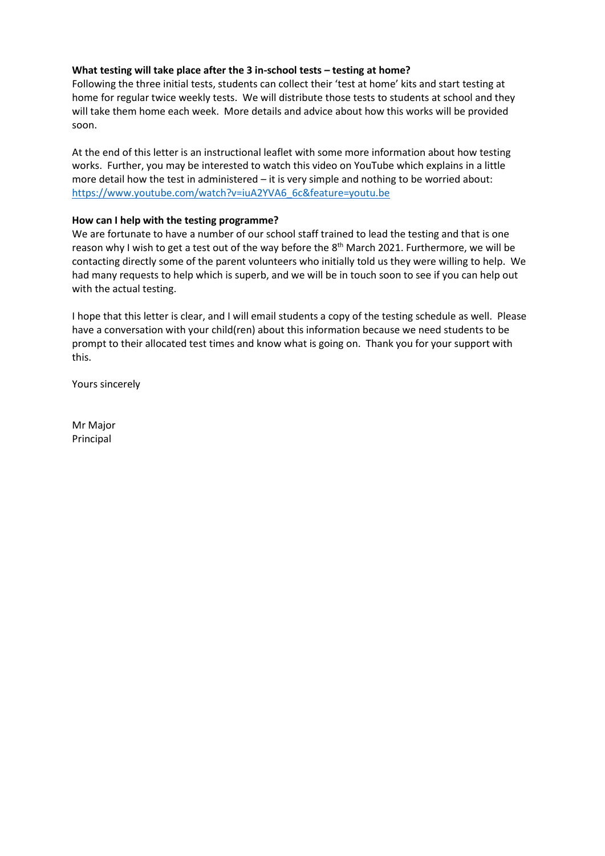## **What testing will take place after the 3 in-school tests – testing at home?**

Following the three initial tests, students can collect their 'test at home' kits and start testing at home for regular twice weekly tests. We will distribute those tests to students at school and they will take them home each week. More details and advice about how this works will be provided soon.

At the end of this letter is an instructional leaflet with some more information about how testing works. Further, you may be interested to watch this video on YouTube which explains in a little more detail how the test in administered – it is very simple and nothing to be worried about: [https://www.youtube.com/watch?v=iuA2YVA6\\_6c&feature=youtu.be](https://www.youtube.com/watch?v=iuA2YVA6_6c&feature=youtu.be)

## **How can I help with the testing programme?**

We are fortunate to have a number of our school staff trained to lead the testing and that is one reason why I wish to get a test out of the way before the  $8<sup>th</sup>$  March 2021. Furthermore, we will be contacting directly some of the parent volunteers who initially told us they were willing to help. We had many requests to help which is superb, and we will be in touch soon to see if you can help out with the actual testing.

I hope that this letter is clear, and I will email students a copy of the testing schedule as well. Please have a conversation with your child(ren) about this information because we need students to be prompt to their allocated test times and know what is going on. Thank you for your support with this.

Yours sincerely

Mr Major Principal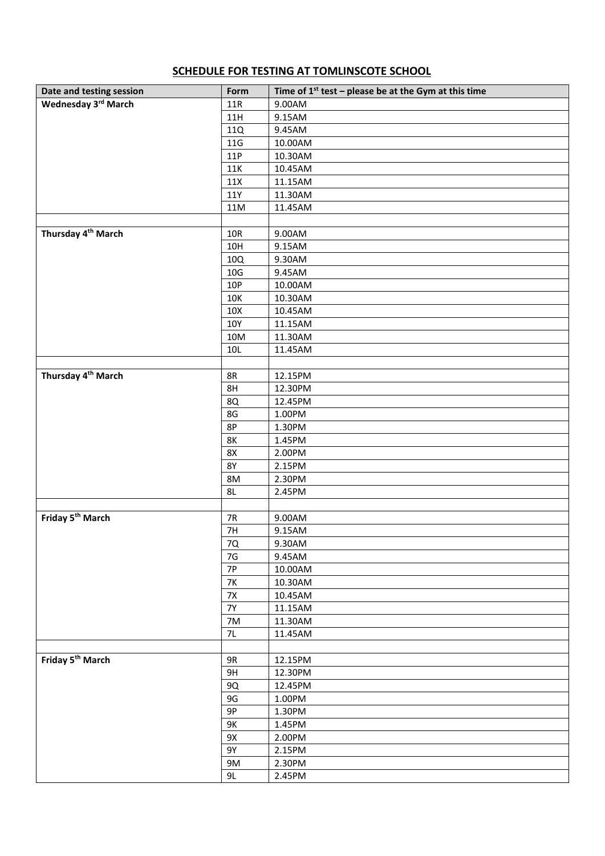# **SCHEDULE FOR TESTING AT TOMLINSCOTE SCHOOL**

| Date and testing session       | Form      | Time of $1^{st}$ test – please be at the Gym at this time |
|--------------------------------|-----------|-----------------------------------------------------------|
| Wednesday 3rd March            | 11R       | 9.00AM                                                    |
|                                | 11H       | 9.15AM                                                    |
|                                | 11Q       | 9.45AM                                                    |
|                                | 11G       | 10.00AM                                                   |
|                                | 11P       | 10.30AM                                                   |
|                                | 11K       | 10.45AM                                                   |
|                                | 11X       | 11.15AM                                                   |
|                                | 11Y       | 11.30AM                                                   |
|                                | 11M       | 11.45AM                                                   |
|                                |           |                                                           |
| Thursday 4 <sup>th</sup> March | 10R       | 9.00AM                                                    |
|                                | 10H       | 9.15AM                                                    |
|                                | 10Q       | 9.30AM                                                    |
|                                | 10G       | 9.45AM                                                    |
|                                | 10P       | 10.00AM                                                   |
|                                | 10K       | 10.30AM                                                   |
|                                | 10X       | 10.45AM                                                   |
|                                | 10Y       | 11.15AM                                                   |
|                                | 10M       | 11.30AM                                                   |
|                                | 10L       | 11.45AM                                                   |
|                                |           |                                                           |
| Thursday 4 <sup>th</sup> March | 8R        | 12.15PM                                                   |
|                                | 8H        | 12.30PM                                                   |
|                                | 8Q        | 12.45PM                                                   |
|                                | 8G        | 1.00PM                                                    |
|                                | 8P        | 1.30PM                                                    |
|                                | <b>8K</b> | 1.45PM                                                    |
|                                | 8X        | 2.00PM                                                    |
|                                | <b>8Y</b> | 2.15PM                                                    |
|                                | 8M        | 2.30PM                                                    |
|                                | 8L        | 2.45PM                                                    |
|                                |           |                                                           |
| Friday 5 <sup>th</sup> March   | 7R        | 9.00AM                                                    |
|                                | 7H        | 9.15AM                                                    |
|                                | 7Q        | 9.30AM                                                    |
|                                | $7G$      | 9.45AM                                                    |
|                                | <b>7P</b> | 10.00AM                                                   |
|                                | <b>7K</b> | 10.30AM                                                   |
|                                | $7\times$ | 10.45AM                                                   |
|                                | <b>7Y</b> | 11.15AM                                                   |
|                                | 7M        | 11.30AM                                                   |
|                                | 7L        | 11.45AM                                                   |
|                                |           |                                                           |
| Friday 5 <sup>th</sup> March   | 9R        | 12.15PM                                                   |
|                                | 9H        | 12.30PM                                                   |
|                                | 9Q        | 12.45PM                                                   |
|                                | 9G        | 1.00PM                                                    |
|                                | $9P$      | 1.30PM                                                    |
|                                | 9K        | 1.45PM                                                    |
|                                | 9X        | 2.00PM                                                    |
|                                | 9Y        | 2.15PM                                                    |
|                                | 9M        | 2.30PM                                                    |
|                                | 9L        | 2.45PM                                                    |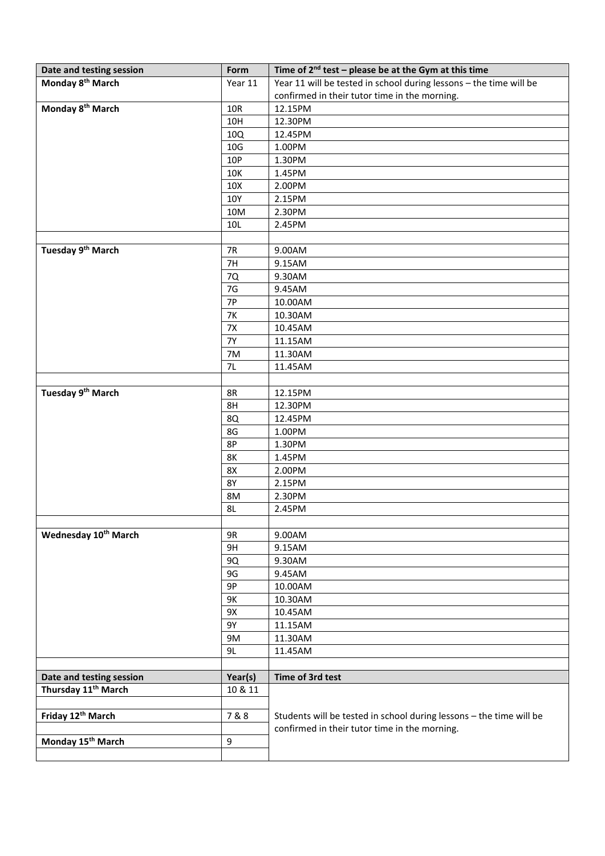| Date and testing session         | Form            | Time of $2^{nd}$ test – please be at the Gym at this time           |
|----------------------------------|-----------------|---------------------------------------------------------------------|
| Monday 8 <sup>th</sup> March     | Year 11         | Year 11 will be tested in school during lessons - the time will be  |
|                                  |                 | confirmed in their tutor time in the morning.                       |
| Monday 8 <sup>th</sup> March     | 10R             | 12.15PM                                                             |
|                                  | 10H             | 12.30PM                                                             |
|                                  | 10Q             | 12.45PM                                                             |
|                                  | 10G             | 1.00PM                                                              |
|                                  | 10P             | 1.30PM                                                              |
|                                  | 10K             | 1.45PM                                                              |
|                                  | 10 <sub>X</sub> | 2.00PM                                                              |
|                                  | 10Y             | 2.15PM                                                              |
|                                  | 10M             | 2.30PM                                                              |
|                                  | 10L             | 2.45PM                                                              |
|                                  |                 |                                                                     |
| Tuesday 9 <sup>th</sup> March    | 7R              | 9.00AM                                                              |
|                                  | 7H              | 9.15AM                                                              |
|                                  | 7Q              | 9.30AM                                                              |
|                                  | 7G              | 9.45AM                                                              |
|                                  | 7P              | 10.00AM                                                             |
|                                  | <b>7K</b>       | 10.30AM                                                             |
|                                  | 7X              | 10.45AM                                                             |
|                                  | <b>7Y</b>       | 11.15AM                                                             |
|                                  | 7M              | 11.30AM                                                             |
|                                  | 7L              | 11.45AM                                                             |
|                                  |                 |                                                                     |
| Tuesday 9 <sup>th</sup> March    | 8R              | 12.15PM                                                             |
|                                  | 8H              | 12.30PM                                                             |
|                                  | 8Q              | 12.45PM                                                             |
|                                  | 8G              | 1.00PM                                                              |
|                                  | 8P              | 1.30PM                                                              |
|                                  | 8K              | 1.45PM                                                              |
|                                  | 8X              | 2.00PM                                                              |
|                                  | <b>8Y</b>       | 2.15PM                                                              |
|                                  | 8M              | 2.30PM                                                              |
|                                  | 8L              | 2.45PM                                                              |
|                                  |                 |                                                                     |
| Wednesday 10 <sup>th</sup> March | 9R              | 9.00AM                                                              |
|                                  | 9H              | 9.15AM                                                              |
|                                  | 9Q              | 9.30AM                                                              |
|                                  | 9G              | 9.45AM                                                              |
|                                  | 9P              | 10.00AM                                                             |
|                                  | 9K              | 10.30AM                                                             |
|                                  | 9X              | 10.45AM                                                             |
|                                  | 9Y              | 11.15AM                                                             |
|                                  | 9M              | 11.30AM                                                             |
|                                  | 9L              | 11.45AM                                                             |
|                                  |                 |                                                                     |
| Date and testing session         | Year(s)         | Time of 3rd test                                                    |
| Thursday 11 <sup>th</sup> March  | 10 & 11         |                                                                     |
|                                  |                 |                                                                     |
| Friday 12th March                | 7&8             | Students will be tested in school during lessons - the time will be |
| Monday 15 <sup>th</sup> March    | 9               | confirmed in their tutor time in the morning.                       |
|                                  |                 |                                                                     |
|                                  |                 |                                                                     |